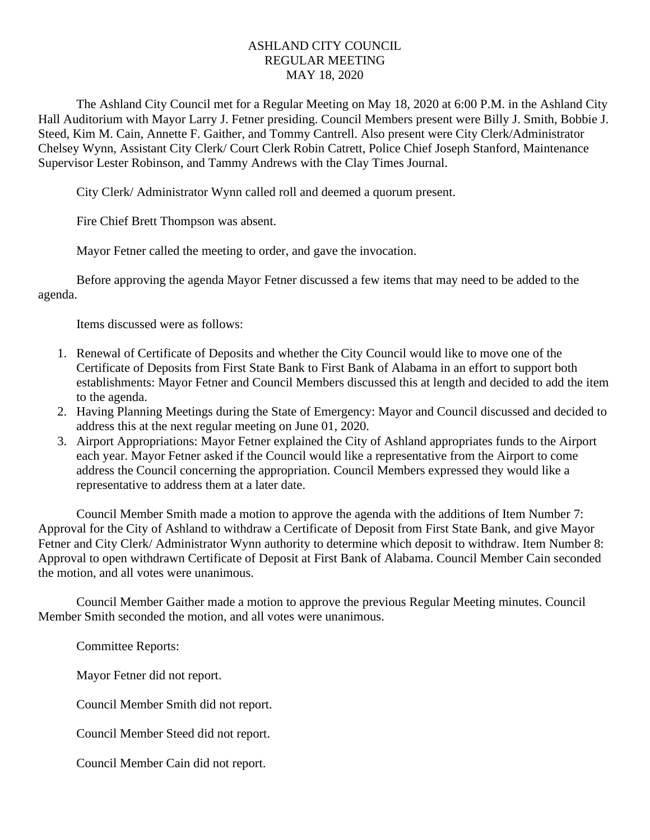## ASHLAND CITY COUNCIL REGULAR MEETING MAY 18, 2020

The Ashland City Council met for a Regular Meeting on May 18, 2020 at 6:00 P.M. in the Ashland City Hall Auditorium with Mayor Larry J. Fetner presiding. Council Members present were Billy J. Smith, Bobbie J. Steed, Kim M. Cain, Annette F. Gaither, and Tommy Cantrell. Also present were City Clerk/Administrator Chelsey Wynn, Assistant City Clerk/ Court Clerk Robin Catrett, Police Chief Joseph Stanford, Maintenance Supervisor Lester Robinson, and Tammy Andrews with the Clay Times Journal.

City Clerk/ Administrator Wynn called roll and deemed a quorum present.

Fire Chief Brett Thompson was absent.

Mayor Fetner called the meeting to order, and gave the invocation.

Before approving the agenda Mayor Fetner discussed a few items that may need to be added to the agenda.

Items discussed were as follows:

- 1. Renewal of Certificate of Deposits and whether the City Council would like to move one of the Certificate of Deposits from First State Bank to First Bank of Alabama in an effort to support both establishments: Mayor Fetner and Council Members discussed this at length and decided to add the item to the agenda.
- 2. Having Planning Meetings during the State of Emergency: Mayor and Council discussed and decided to address this at the next regular meeting on June 01, 2020.
- 3. Airport Appropriations: Mayor Fetner explained the City of Ashland appropriates funds to the Airport each year. Mayor Fetner asked if the Council would like a representative from the Airport to come address the Council concerning the appropriation. Council Members expressed they would like a representative to address them at a later date.

 Council Member Smith made a motion to approve the agenda with the additions of Item Number 7: Approval for the City of Ashland to withdraw a Certificate of Deposit from First State Bank, and give Mayor Fetner and City Clerk/ Administrator Wynn authority to determine which deposit to withdraw. Item Number 8: Approval to open withdrawn Certificate of Deposit at First Bank of Alabama. Council Member Cain seconded the motion, and all votes were unanimous.

Council Member Gaither made a motion to approve the previous Regular Meeting minutes. Council Member Smith seconded the motion, and all votes were unanimous.

Committee Reports:

Mayor Fetner did not report.

Council Member Smith did not report.

Council Member Steed did not report.

Council Member Cain did not report.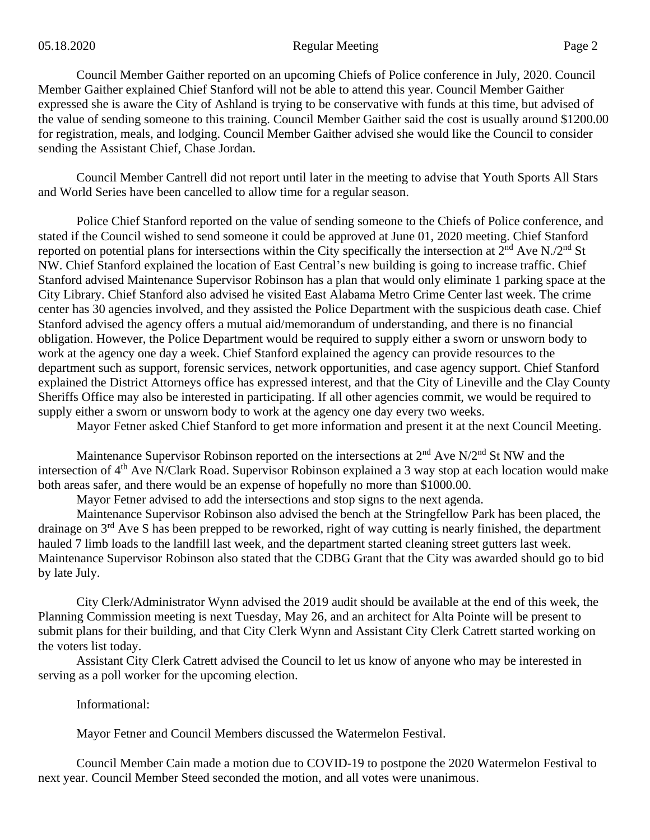Council Member Gaither reported on an upcoming Chiefs of Police conference in July, 2020. Council Member Gaither explained Chief Stanford will not be able to attend this year. Council Member Gaither expressed she is aware the City of Ashland is trying to be conservative with funds at this time, but advised of the value of sending someone to this training. Council Member Gaither said the cost is usually around \$1200.00 for registration, meals, and lodging. Council Member Gaither advised she would like the Council to consider sending the Assistant Chief, Chase Jordan.

Council Member Cantrell did not report until later in the meeting to advise that Youth Sports All Stars and World Series have been cancelled to allow time for a regular season.

Police Chief Stanford reported on the value of sending someone to the Chiefs of Police conference, and stated if the Council wished to send someone it could be approved at June 01, 2020 meeting. Chief Stanford reported on potential plans for intersections within the City specifically the intersection at  $2^{nd}$  Ave N./2<sup>nd</sup> St NW. Chief Stanford explained the location of East Central's new building is going to increase traffic. Chief Stanford advised Maintenance Supervisor Robinson has a plan that would only eliminate 1 parking space at the City Library. Chief Stanford also advised he visited East Alabama Metro Crime Center last week. The crime center has 30 agencies involved, and they assisted the Police Department with the suspicious death case. Chief Stanford advised the agency offers a mutual aid/memorandum of understanding, and there is no financial obligation. However, the Police Department would be required to supply either a sworn or unsworn body to work at the agency one day a week. Chief Stanford explained the agency can provide resources to the department such as support, forensic services, network opportunities, and case agency support. Chief Stanford explained the District Attorneys office has expressed interest, and that the City of Lineville and the Clay County Sheriffs Office may also be interested in participating. If all other agencies commit, we would be required to supply either a sworn or unsworn body to work at the agency one day every two weeks.

Mayor Fetner asked Chief Stanford to get more information and present it at the next Council Meeting.

Maintenance Supervisor Robinson reported on the intersections at  $2<sup>nd</sup>$  Ave N/2<sup>nd</sup> St NW and the intersection of 4th Ave N/Clark Road. Supervisor Robinson explained a 3 way stop at each location would make both areas safer, and there would be an expense of hopefully no more than \$1000.00.

Mayor Fetner advised to add the intersections and stop signs to the next agenda.

Maintenance Supervisor Robinson also advised the bench at the Stringfellow Park has been placed, the drainage on 3rd Ave S has been prepped to be reworked, right of way cutting is nearly finished, the department hauled 7 limb loads to the landfill last week, and the department started cleaning street gutters last week. Maintenance Supervisor Robinson also stated that the CDBG Grant that the City was awarded should go to bid by late July.

City Clerk/Administrator Wynn advised the 2019 audit should be available at the end of this week, the Planning Commission meeting is next Tuesday, May 26, and an architect for Alta Pointe will be present to submit plans for their building, and that City Clerk Wynn and Assistant City Clerk Catrett started working on the voters list today.

Assistant City Clerk Catrett advised the Council to let us know of anyone who may be interested in serving as a poll worker for the upcoming election.

Informational:

Mayor Fetner and Council Members discussed the Watermelon Festival.

Council Member Cain made a motion due to COVID-19 to postpone the 2020 Watermelon Festival to next year. Council Member Steed seconded the motion, and all votes were unanimous.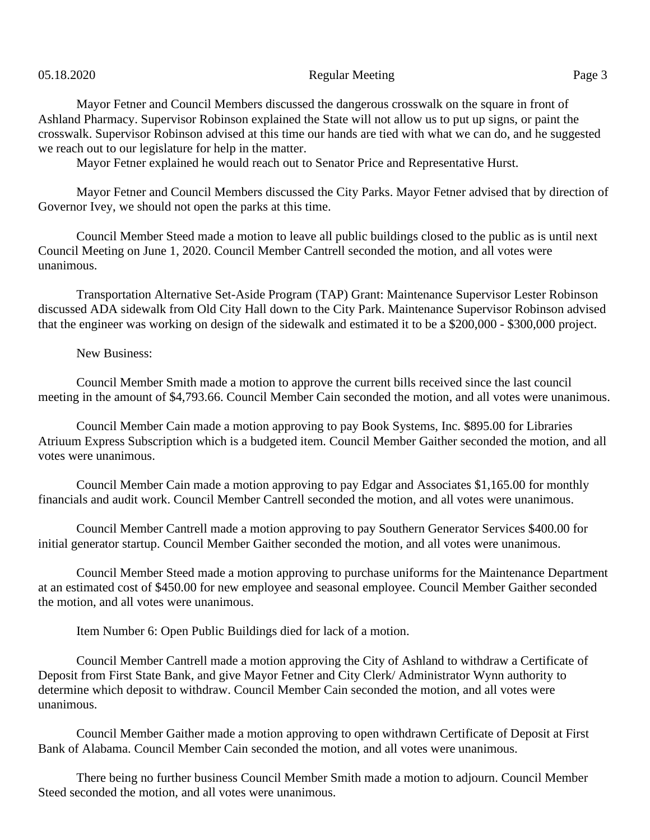## 05.18.2020 Page 3

Mayor Fetner and Council Members discussed the dangerous crosswalk on the square in front of Ashland Pharmacy. Supervisor Robinson explained the State will not allow us to put up signs, or paint the crosswalk. Supervisor Robinson advised at this time our hands are tied with what we can do, and he suggested we reach out to our legislature for help in the matter.

Mayor Fetner explained he would reach out to Senator Price and Representative Hurst.

Mayor Fetner and Council Members discussed the City Parks. Mayor Fetner advised that by direction of Governor Ivey, we should not open the parks at this time.

Council Member Steed made a motion to leave all public buildings closed to the public as is until next Council Meeting on June 1, 2020. Council Member Cantrell seconded the motion, and all votes were unanimous.

Transportation Alternative Set-Aside Program (TAP) Grant: Maintenance Supervisor Lester Robinson discussed ADA sidewalk from Old City Hall down to the City Park. Maintenance Supervisor Robinson advised that the engineer was working on design of the sidewalk and estimated it to be a \$200,000 - \$300,000 project.

## New Business:

Council Member Smith made a motion to approve the current bills received since the last council meeting in the amount of \$4,793.66. Council Member Cain seconded the motion, and all votes were unanimous.

Council Member Cain made a motion approving to pay Book Systems, Inc. \$895.00 for Libraries Atriuum Express Subscription which is a budgeted item. Council Member Gaither seconded the motion, and all votes were unanimous.

Council Member Cain made a motion approving to pay Edgar and Associates \$1,165.00 for monthly financials and audit work. Council Member Cantrell seconded the motion, and all votes were unanimous.

Council Member Cantrell made a motion approving to pay Southern Generator Services \$400.00 for initial generator startup. Council Member Gaither seconded the motion, and all votes were unanimous.

Council Member Steed made a motion approving to purchase uniforms for the Maintenance Department at an estimated cost of \$450.00 for new employee and seasonal employee. Council Member Gaither seconded the motion, and all votes were unanimous.

Item Number 6: Open Public Buildings died for lack of a motion.

Council Member Cantrell made a motion approving the City of Ashland to withdraw a Certificate of Deposit from First State Bank, and give Mayor Fetner and City Clerk/ Administrator Wynn authority to determine which deposit to withdraw. Council Member Cain seconded the motion, and all votes were unanimous.

Council Member Gaither made a motion approving to open withdrawn Certificate of Deposit at First Bank of Alabama. Council Member Cain seconded the motion, and all votes were unanimous.

There being no further business Council Member Smith made a motion to adjourn. Council Member Steed seconded the motion, and all votes were unanimous.